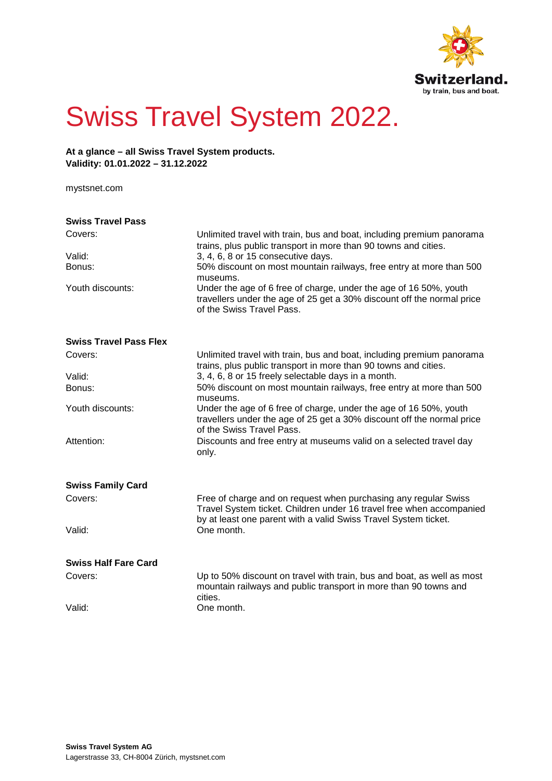

## Swiss Travel System 2022.

**At a glance – all Swiss Travel System products. Validity: 01.01.2022 – 31.12.2022**

[mystsnet.com](http://www.mystsnet.com/)

| <b>Swiss Travel Pass</b>      |                                                                                                                                                                                                            |  |
|-------------------------------|------------------------------------------------------------------------------------------------------------------------------------------------------------------------------------------------------------|--|
| Covers:                       | Unlimited travel with train, bus and boat, including premium panorama<br>trains, plus public transport in more than 90 towns and cities.                                                                   |  |
| Valid:                        | 3, 4, 6, 8 or 15 consecutive days.                                                                                                                                                                         |  |
| Bonus:                        | 50% discount on most mountain railways, free entry at more than 500<br>museums.                                                                                                                            |  |
| Youth discounts:              | Under the age of 6 free of charge, under the age of 16 50%, youth<br>travellers under the age of 25 get a 30% discount off the normal price<br>of the Swiss Travel Pass.                                   |  |
| <b>Swiss Travel Pass Flex</b> |                                                                                                                                                                                                            |  |
| Covers:                       | Unlimited travel with train, bus and boat, including premium panorama<br>trains, plus public transport in more than 90 towns and cities.                                                                   |  |
| Valid:                        | 3, 4, 6, 8 or 15 freely selectable days in a month.                                                                                                                                                        |  |
| Bonus:                        | 50% discount on most mountain railways, free entry at more than 500<br>museums.                                                                                                                            |  |
| Youth discounts:              | Under the age of 6 free of charge, under the age of 16 50%, youth<br>travellers under the age of 25 get a 30% discount off the normal price<br>of the Swiss Travel Pass.                                   |  |
| Attention:                    | Discounts and free entry at museums valid on a selected travel day<br>only.                                                                                                                                |  |
| <b>Swiss Family Card</b>      |                                                                                                                                                                                                            |  |
| Covers:                       | Free of charge and on request when purchasing any regular Swiss<br>Travel System ticket. Children under 16 travel free when accompanied<br>by at least one parent with a valid Swiss Travel System ticket. |  |
| Valid:                        | One month.                                                                                                                                                                                                 |  |
| <b>Swiss Half Fare Card</b>   |                                                                                                                                                                                                            |  |
| Covers:                       | Up to 50% discount on travel with train, bus and boat, as well as most<br>mountain railways and public transport in more than 90 towns and<br>cities.                                                      |  |
| Valid:                        | One month.                                                                                                                                                                                                 |  |